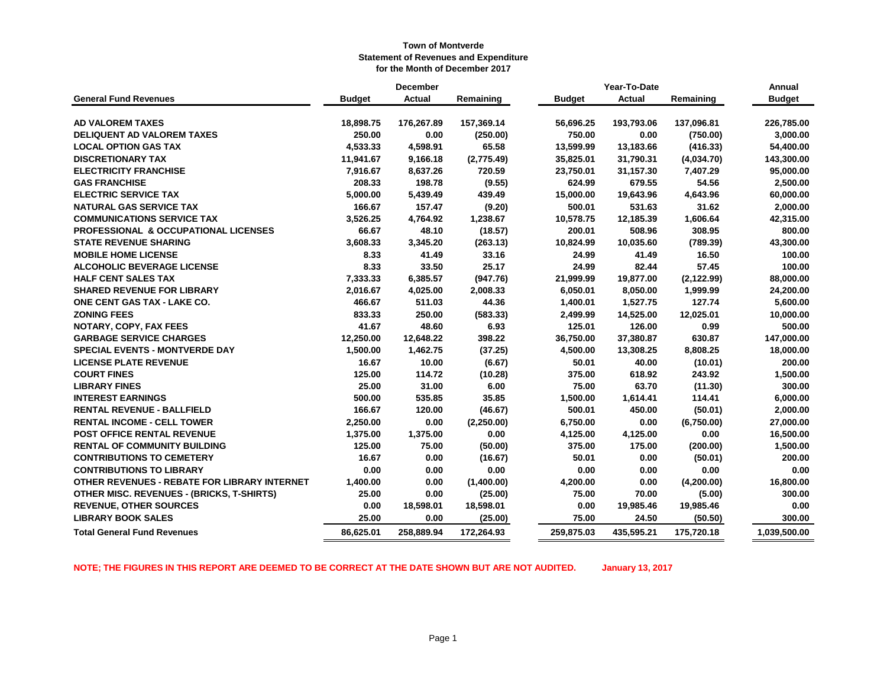|                                                  |               | <b>December</b> |            | Year-To-Date  |               |             | Annual        |
|--------------------------------------------------|---------------|-----------------|------------|---------------|---------------|-------------|---------------|
| <b>General Fund Revenues</b>                     | <b>Budget</b> | Actual          | Remaining  | <b>Budget</b> | <b>Actual</b> | Remaining   | <b>Budget</b> |
|                                                  |               |                 |            |               |               |             |               |
| <b>AD VALOREM TAXES</b>                          | 18,898.75     | 176,267.89      | 157,369.14 | 56,696.25     | 193,793.06    | 137,096.81  | 226,785.00    |
| <b>DELIQUENT AD VALOREM TAXES</b>                | 250.00        | 0.00            | (250.00)   | 750.00        | 0.00          | (750.00)    | 3,000.00      |
| <b>LOCAL OPTION GAS TAX</b>                      | 4,533.33      | 4,598.91        | 65.58      | 13,599.99     | 13,183.66     | (416.33)    | 54,400.00     |
| <b>DISCRETIONARY TAX</b>                         | 11,941.67     | 9,166.18        | (2,775.49) | 35,825.01     | 31,790.31     | (4,034.70)  | 143,300.00    |
| <b>ELECTRICITY FRANCHISE</b>                     | 7,916.67      | 8,637.26        | 720.59     | 23,750.01     | 31,157.30     | 7,407.29    | 95,000.00     |
| <b>GAS FRANCHISE</b>                             | 208.33        | 198.78          | (9.55)     | 624.99        | 679.55        | 54.56       | 2,500.00      |
| <b>ELECTRIC SERVICE TAX</b>                      | 5,000.00      | 5,439.49        | 439.49     | 15,000.00     | 19,643.96     | 4,643.96    | 60,000.00     |
| <b>NATURAL GAS SERVICE TAX</b>                   | 166.67        | 157.47          | (9.20)     | 500.01        | 531.63        | 31.62       | 2,000.00      |
| <b>COMMUNICATIONS SERVICE TAX</b>                | 3,526.25      | 4,764.92        | 1,238.67   | 10,578.75     | 12,185.39     | 1,606.64    | 42,315.00     |
| <b>PROFESSIONAL &amp; OCCUPATIONAL LICENSES</b>  | 66.67         | 48.10           | (18.57)    | 200.01        | 508.96        | 308.95      | 800.00        |
| <b>STATE REVENUE SHARING</b>                     | 3,608.33      | 3,345.20        | (263.13)   | 10,824.99     | 10,035.60     | (789.39)    | 43,300.00     |
| <b>MOBILE HOME LICENSE</b>                       | 8.33          | 41.49           | 33.16      | 24.99         | 41.49         | 16.50       | 100.00        |
| <b>ALCOHOLIC BEVERAGE LICENSE</b>                | 8.33          | 33.50           | 25.17      | 24.99         | 82.44         | 57.45       | 100.00        |
| <b>HALF CENT SALES TAX</b>                       | 7,333.33      | 6,385.57        | (947.76)   | 21,999.99     | 19,877.00     | (2, 122.99) | 88,000.00     |
| <b>SHARED REVENUE FOR LIBRARY</b>                | 2,016.67      | 4,025.00        | 2,008.33   | 6,050.01      | 8,050.00      | 1,999.99    | 24,200.00     |
| ONE CENT GAS TAX - LAKE CO.                      | 466.67        | 511.03          | 44.36      | 1,400.01      | 1,527.75      | 127.74      | 5,600.00      |
| <b>ZONING FEES</b>                               | 833.33        | 250.00          | (583.33)   | 2,499.99      | 14,525.00     | 12,025.01   | 10,000.00     |
| NOTARY, COPY, FAX FEES                           | 41.67         | 48.60           | 6.93       | 125.01        | 126.00        | 0.99        | 500.00        |
| <b>GARBAGE SERVICE CHARGES</b>                   | 12,250.00     | 12,648.22       | 398.22     | 36,750.00     | 37,380.87     | 630.87      | 147,000.00    |
| <b>SPECIAL EVENTS - MONTVERDE DAY</b>            | 1,500.00      | 1,462.75        | (37.25)    | 4,500.00      | 13,308.25     | 8,808.25    | 18,000.00     |
| <b>LICENSE PLATE REVENUE</b>                     | 16.67         | 10.00           | (6.67)     | 50.01         | 40.00         | (10.01)     | 200.00        |
| <b>COURT FINES</b>                               | 125.00        | 114.72          | (10.28)    | 375.00        | 618.92        | 243.92      | 1,500.00      |
| <b>LIBRARY FINES</b>                             | 25.00         | 31.00           | 6.00       | 75.00         | 63.70         | (11.30)     | 300.00        |
| <b>INTEREST EARNINGS</b>                         | 500.00        | 535.85          | 35.85      | 1,500.00      | 1,614.41      | 114.41      | 6,000.00      |
| <b>RENTAL REVENUE - BALLFIELD</b>                | 166.67        | 120.00          | (46.67)    | 500.01        | 450.00        | (50.01)     | 2,000.00      |
| <b>RENTAL INCOME - CELL TOWER</b>                | 2,250.00      | 0.00            | (2,250.00) | 6,750.00      | 0.00          | (6,750.00)  | 27,000.00     |
| POST OFFICE RENTAL REVENUE                       | 1,375.00      | 1,375.00        | 0.00       | 4,125.00      | 4,125.00      | 0.00        | 16,500.00     |
| <b>RENTAL OF COMMUNITY BUILDING</b>              | 125.00        | 75.00           | (50.00)    | 375.00        | 175.00        | (200.00)    | 1,500.00      |
| <b>CONTRIBUTIONS TO CEMETERY</b>                 | 16.67         | 0.00            | (16.67)    | 50.01         | 0.00          | (50.01)     | 200.00        |
| <b>CONTRIBUTIONS TO LIBRARY</b>                  | 0.00          | 0.00            | 0.00       | 0.00          | 0.00          | 0.00        | 0.00          |
| OTHER REVENUES - REBATE FOR LIBRARY INTERNET     | 1,400.00      | 0.00            | (1,400.00) | 4,200.00      | 0.00          | (4,200.00)  | 16,800.00     |
| <b>OTHER MISC. REVENUES - (BRICKS, T-SHIRTS)</b> | 25.00         | 0.00            | (25.00)    | 75.00         | 70.00         | (5.00)      | 300.00        |
| <b>REVENUE, OTHER SOURCES</b>                    | 0.00          | 18,598.01       | 18,598.01  | 0.00          | 19,985.46     | 19,985.46   | 0.00          |
| <b>LIBRARY BOOK SALES</b>                        | 25.00         | 0.00            | (25.00)    | 75.00         | 24.50         | (50.50)     | 300.00        |
| <b>Total General Fund Revenues</b>               | 86,625.01     | 258,889.94      | 172,264.93 | 259,875.03    | 435,595.21    | 175,720.18  | 1,039,500.00  |

**NOTE; THE FIGURES IN THIS REPORT ARE DEEMED TO BE CORRECT AT THE DATE SHOWN BUT ARE NOT AUDITED. January 13, 2017**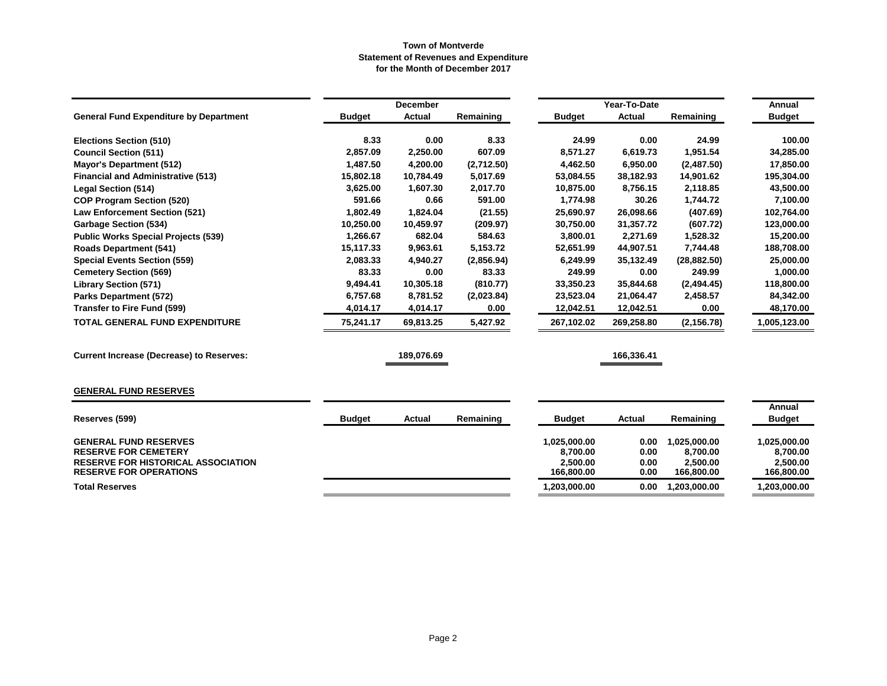|                                                                                                                                           | <b>December</b> |               |            |                                                    | Year-To-Date                 |                                                    |                                                    |  |
|-------------------------------------------------------------------------------------------------------------------------------------------|-----------------|---------------|------------|----------------------------------------------------|------------------------------|----------------------------------------------------|----------------------------------------------------|--|
| <b>General Fund Expenditure by Department</b>                                                                                             | <b>Budget</b>   | <b>Actual</b> | Remaining  | <b>Budget</b>                                      | <b>Actual</b>                | Remaining                                          | <b>Budget</b>                                      |  |
| <b>Elections Section (510)</b>                                                                                                            | 8.33            | 0.00          | 8.33       | 24.99                                              | 0.00                         | 24.99                                              | 100.00                                             |  |
| <b>Council Section (511)</b>                                                                                                              | 2,857.09        | 2,250.00      | 607.09     | 8,571.27                                           | 6,619.73                     | 1,951.54                                           | 34,285.00                                          |  |
| <b>Mayor's Department (512)</b>                                                                                                           | 1,487.50        | 4,200.00      | (2,712.50) | 4,462.50                                           | 6,950.00                     | (2,487.50)                                         | 17,850.00                                          |  |
| <b>Financial and Administrative (513)</b>                                                                                                 | 15,802.18       | 10,784.49     | 5,017.69   | 53,084.55                                          | 38,182.93                    | 14,901.62                                          | 195,304.00                                         |  |
| <b>Legal Section (514)</b>                                                                                                                | 3,625.00        | 1,607.30      | 2,017.70   | 10,875.00                                          | 8,756.15                     | 2,118.85                                           | 43,500.00                                          |  |
| <b>COP Program Section (520)</b>                                                                                                          | 591.66          | 0.66          | 591.00     | 1,774.98                                           | 30.26                        | 1,744.72                                           | 7,100.00                                           |  |
| <b>Law Enforcement Section (521)</b>                                                                                                      | 1,802.49        | 1,824.04      | (21.55)    | 25,690.97                                          | 26,098.66                    | (407.69)                                           | 102,764.00                                         |  |
| <b>Garbage Section (534)</b>                                                                                                              | 10,250.00       | 10,459.97     | (209.97)   | 30,750.00                                          | 31,357.72                    | (607.72)                                           | 123,000.00                                         |  |
| <b>Public Works Special Projects (539)</b>                                                                                                | 1,266.67        | 682.04        | 584.63     | 3.800.01                                           | 2,271.69                     | 1,528.32                                           | 15,200.00                                          |  |
| <b>Roads Department (541)</b>                                                                                                             | 15,117.33       | 9,963.61      | 5,153.72   | 52,651.99                                          | 44,907.51                    | 7,744.48                                           | 188,708.00                                         |  |
| <b>Special Events Section (559)</b>                                                                                                       | 2,083.33        | 4,940.27      | (2,856.94) | 6,249.99                                           | 35,132.49                    | (28, 882.50)                                       | 25,000.00                                          |  |
| <b>Cemetery Section (569)</b>                                                                                                             | 83.33           | 0.00          | 83.33      | 249.99                                             | 0.00                         | 249.99                                             | 1,000.00                                           |  |
| <b>Library Section (571)</b>                                                                                                              | 9,494.41        | 10,305.18     | (810.77)   | 33,350.23                                          | 35,844.68                    | (2,494.45)                                         | 118,800.00                                         |  |
| <b>Parks Department (572)</b>                                                                                                             | 6,757.68        | 8,781.52      | (2,023.84) | 23,523.04                                          | 21,064.47                    | 2,458.57                                           | 84,342.00                                          |  |
| <b>Transfer to Fire Fund (599)</b>                                                                                                        | 4,014.17        | 4,014.17      | 0.00       | 12,042.51                                          | 12,042.51                    | 0.00                                               | 48,170.00                                          |  |
| TOTAL GENERAL FUND EXPENDITURE                                                                                                            | 75,241.17       | 69,813.25     | 5,427.92   | 267,102.02                                         | 269,258.80                   | (2, 156.78)                                        | 1,005,123.00                                       |  |
| <b>Current Increase (Decrease) to Reserves:</b>                                                                                           |                 | 189,076.69    |            |                                                    | 166,336.41                   |                                                    |                                                    |  |
| <b>GENERAL FUND RESERVES</b>                                                                                                              |                 |               |            |                                                    |                              |                                                    |                                                    |  |
|                                                                                                                                           |                 |               |            |                                                    |                              |                                                    | Annual                                             |  |
| Reserves (599)                                                                                                                            | <b>Budget</b>   | Actual        | Remaining  | <b>Budget</b>                                      | Actual                       | Remaining                                          | <b>Budget</b>                                      |  |
| <b>GENERAL FUND RESERVES</b><br><b>RESERVE FOR CEMETERY</b><br><b>RESERVE FOR HISTORICAL ASSOCIATION</b><br><b>RESERVE FOR OPERATIONS</b> |                 |               |            | 1,025,000.00<br>8,700.00<br>2,500.00<br>166,800.00 | 0.00<br>0.00<br>0.00<br>0.00 | 1,025,000.00<br>8,700.00<br>2,500.00<br>166,800.00 | 1,025,000.00<br>8,700.00<br>2,500.00<br>166,800.00 |  |
| <b>Total Reserves</b>                                                                                                                     |                 |               |            | 1,203,000.00                                       | 0.00                         | 1,203,000.00                                       | 1,203,000.00                                       |  |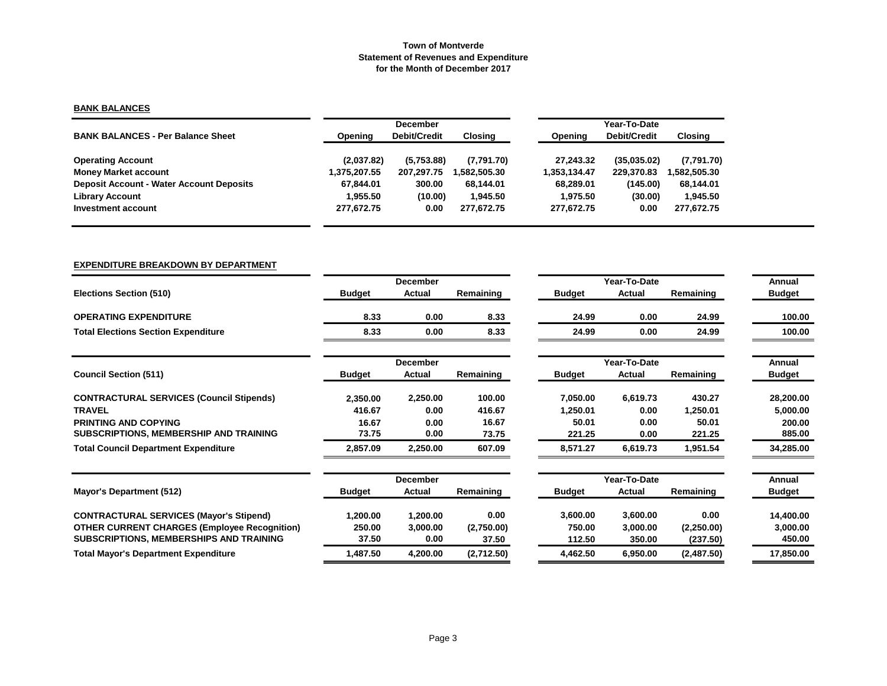# **BANK BALANCES**

|                                                 |              | <b>December</b>     |             |              | Year-To-Date |             |  |  |  |
|-------------------------------------------------|--------------|---------------------|-------------|--------------|--------------|-------------|--|--|--|
| <b>BANK BALANCES - Per Balance Sheet</b>        | Opening      | <b>Debit/Credit</b> | Closing     | Opening      | Debit/Credit | Closing     |  |  |  |
| <b>Operating Account</b>                        | (2,037.82)   | (5,753.88)          | (7,791.70)  | 27.243.32    | (35,035.02)  | (7,791.70)  |  |  |  |
| <b>Money Market account</b>                     | 1,375,207.55 | 207,297.75          | .582,505.30 | 1.353.134.47 | 229.370.83   | ,582,505.30 |  |  |  |
| <b>Deposit Account - Water Account Deposits</b> | 67,844.01    | 300.00              | 68.144.01   | 68.289.01    | (145.00)     | 68,144.01   |  |  |  |
| <b>Library Account</b>                          | 1.955.50     | (10.00)             | 1.945.50    | 1.975.50     | (30.00)      | 1.945.50    |  |  |  |
| Investment account                              | 277.672.75   | 0.00                | 277.672.75  | 277,672.75   | 0.00         | 277,672.75  |  |  |  |

## **EXPENDITURE BREAKDOWN BY DEPARTMENT**

|                                                     |               | <b>December</b> |            |               | Year-To-Date  |            | Annual        |
|-----------------------------------------------------|---------------|-----------------|------------|---------------|---------------|------------|---------------|
| <b>Elections Section (510)</b>                      | <b>Budget</b> | <b>Actual</b>   | Remaining  | <b>Budget</b> | Actual        | Remaining  | <b>Budget</b> |
| <b>OPERATING EXPENDITURE</b>                        | 8.33          | 0.00            | 8.33       | 24.99         | 0.00          | 24.99      | 100.00        |
| <b>Total Elections Section Expenditure</b>          | 8.33          | 0.00            | 8.33       | 24.99         | 0.00          | 24.99      | 100.00        |
|                                                     |               | <b>December</b> |            |               | Year-To-Date  |            | Annual        |
| <b>Council Section (511)</b>                        | <b>Budget</b> | Actual          | Remaining  | <b>Budget</b> | Actual        | Remaining  | <b>Budget</b> |
| <b>CONTRACTURAL SERVICES (Council Stipends)</b>     | 2,350.00      | 2,250.00        | 100.00     | 7,050.00      | 6,619.73      | 430.27     | 28,200.00     |
| <b>TRAVEL</b>                                       | 416.67        | 0.00            | 416.67     | 1,250.01      | 0.00          | 1,250.01   | 5,000.00      |
| <b>PRINTING AND COPYING</b>                         | 16.67         | 0.00            | 16.67      | 50.01         | 0.00          | 50.01      | 200.00        |
| SUBSCRIPTIONS, MEMBERSHIP AND TRAINING              | 73.75         | 0.00            | 73.75      | 221.25        | 0.00          | 221.25     | 885.00        |
| <b>Total Council Department Expenditure</b>         | 2,857.09      | 2,250.00        | 607.09     | 8,571.27      | 6,619.73      | 1,951.54   | 34,285.00     |
|                                                     |               | December        |            |               | Year-To-Date  |            | Annual        |
| <b>Mayor's Department (512)</b>                     | <b>Budget</b> | Actual          | Remaining  | <b>Budget</b> | <b>Actual</b> | Remaining  | <b>Budget</b> |
| <b>CONTRACTURAL SERVICES (Mayor's Stipend)</b>      | 1,200.00      | 1,200.00        | 0.00       | 3,600.00      | 3,600.00      | 0.00       | 14,400.00     |
| <b>OTHER CURRENT CHARGES (Employee Recognition)</b> | 250.00        | 3,000.00        | (2,750.00) | 750.00        | 3,000.00      | (2,250.00) | 3,000.00      |
| <b>SUBSCRIPTIONS, MEMBERSHIPS AND TRAINING</b>      | 37.50         | 0.00            | 37.50      | 112.50        | 350.00        | (237.50)   | 450.00        |
| <b>Total Mayor's Department Expenditure</b>         | 1,487.50      | 4,200.00        | (2,712.50) | 4,462.50      | 6,950.00      | (2,487.50) | 17,850.00     |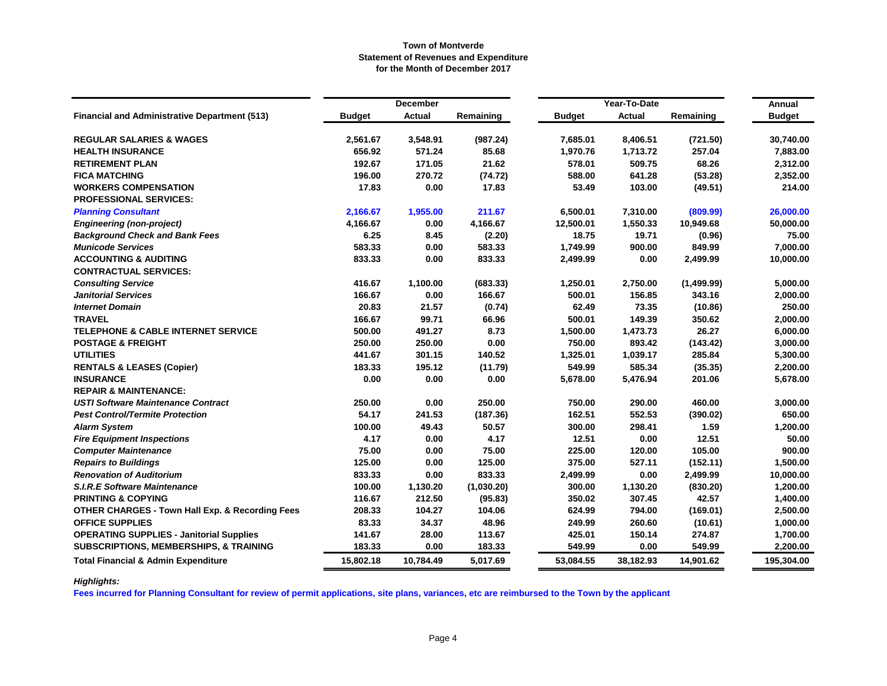|                                                      |               | <b>December</b> |            |               | Year-To-Date  |            | Annual        |
|------------------------------------------------------|---------------|-----------------|------------|---------------|---------------|------------|---------------|
| <b>Financial and Administrative Department (513)</b> | <b>Budget</b> | <b>Actual</b>   | Remaining  | <b>Budget</b> | <b>Actual</b> | Remaining  | <b>Budget</b> |
| <b>REGULAR SALARIES &amp; WAGES</b>                  | 2,561.67      | 3,548.91        | (987.24)   | 7,685.01      | 8,406.51      | (721.50)   | 30,740.00     |
| <b>HEALTH INSURANCE</b>                              | 656.92        | 571.24          | 85.68      | 1,970.76      | 1,713.72      | 257.04     | 7,883.00      |
| <b>RETIREMENT PLAN</b>                               | 192.67        | 171.05          | 21.62      | 578.01        | 509.75        | 68.26      | 2,312.00      |
| <b>FICA MATCHING</b>                                 | 196.00        | 270.72          | (74.72)    | 588.00        | 641.28        | (53.28)    | 2,352.00      |
| <b>WORKERS COMPENSATION</b>                          | 17.83         | 0.00            | 17.83      | 53.49         | 103.00        | (49.51)    | 214.00        |
| <b>PROFESSIONAL SERVICES:</b>                        |               |                 |            |               |               |            |               |
| <b>Planning Consultant</b>                           | 2,166.67      | 1,955.00        | 211.67     | 6,500.01      | 7,310.00      | (809.99)   | 26,000.00     |
| <b>Engineering (non-project)</b>                     | 4,166.67      | 0.00            | 4,166.67   | 12,500.01     | 1,550.33      | 10,949.68  | 50,000.00     |
| <b>Background Check and Bank Fees</b>                | 6.25          | 8.45            | (2.20)     | 18.75         | 19.71         | (0.96)     | 75.00         |
| <b>Municode Services</b>                             | 583.33        | 0.00            | 583.33     | 1,749.99      | 900.00        | 849.99     | 7,000.00      |
| <b>ACCOUNTING &amp; AUDITING</b>                     | 833.33        | 0.00            | 833.33     | 2,499.99      | 0.00          | 2,499.99   | 10,000.00     |
| <b>CONTRACTUAL SERVICES:</b>                         |               |                 |            |               |               |            |               |
| <b>Consulting Service</b>                            | 416.67        | 1,100.00        | (683.33)   | 1,250.01      | 2,750.00      | (1,499.99) | 5,000.00      |
| <b>Janitorial Services</b>                           | 166.67        | 0.00            | 166.67     | 500.01        | 156.85        | 343.16     | 2,000.00      |
| <b>Internet Domain</b>                               | 20.83         | 21.57           | (0.74)     | 62.49         | 73.35         | (10.86)    | 250.00        |
| <b>TRAVEL</b>                                        | 166.67        | 99.71           | 66.96      | 500.01        | 149.39        | 350.62     | 2,000.00      |
| <b>TELEPHONE &amp; CABLE INTERNET SERVICE</b>        | 500.00        | 491.27          | 8.73       | 1,500.00      | 1,473.73      | 26.27      | 6,000.00      |
| <b>POSTAGE &amp; FREIGHT</b>                         | 250.00        | 250.00          | 0.00       | 750.00        | 893.42        | (143.42)   | 3,000.00      |
| <b>UTILITIES</b>                                     | 441.67        | 301.15          | 140.52     | 1,325.01      | 1,039.17      | 285.84     | 5,300.00      |
| <b>RENTALS &amp; LEASES (Copier)</b>                 | 183.33        | 195.12          | (11.79)    | 549.99        | 585.34        | (35.35)    | 2,200.00      |
| <b>INSURANCE</b>                                     | 0.00          | 0.00            | 0.00       | 5,678.00      | 5,476.94      | 201.06     | 5,678.00      |
| <b>REPAIR &amp; MAINTENANCE:</b>                     |               |                 |            |               |               |            |               |
| <b>USTI Software Maintenance Contract</b>            | 250.00        | 0.00            | 250.00     | 750.00        | 290.00        | 460.00     | 3,000.00      |
| <b>Pest Control/Termite Protection</b>               | 54.17         | 241.53          | (187.36)   | 162.51        | 552.53        | (390.02)   | 650.00        |
| <b>Alarm System</b>                                  | 100.00        | 49.43           | 50.57      | 300.00        | 298.41        | 1.59       | 1,200.00      |
| <b>Fire Equipment Inspections</b>                    | 4.17          | 0.00            | 4.17       | 12.51         | 0.00          | 12.51      | 50.00         |
| <b>Computer Maintenance</b>                          | 75.00         | 0.00            | 75.00      | 225.00        | 120.00        | 105.00     | 900.00        |
| <b>Repairs to Buildings</b>                          | 125.00        | 0.00            | 125.00     | 375.00        | 527.11        | (152.11)   | 1,500.00      |
| <b>Renovation of Auditorium</b>                      | 833.33        | 0.00            | 833.33     | 2,499.99      | 0.00          | 2,499.99   | 10,000.00     |
| <b>S.I.R.E Software Maintenance</b>                  | 100.00        | 1,130.20        | (1,030.20) | 300.00        | 1,130.20      | (830.20)   | 1,200.00      |
| <b>PRINTING &amp; COPYING</b>                        | 116.67        | 212.50          | (95.83)    | 350.02        | 307.45        | 42.57      | 1,400.00      |
| OTHER CHARGES - Town Hall Exp. & Recording Fees      | 208.33        | 104.27          | 104.06     | 624.99        | 794.00        | (169.01)   | 2,500.00      |
| <b>OFFICE SUPPLIES</b>                               | 83.33         | 34.37           | 48.96      | 249.99        | 260.60        | (10.61)    | 1,000.00      |
| <b>OPERATING SUPPLIES - Janitorial Supplies</b>      | 141.67        | 28.00           | 113.67     | 425.01        | 150.14        | 274.87     | 1,700.00      |
| <b>SUBSCRIPTIONS, MEMBERSHIPS, &amp; TRAINING</b>    | 183.33        | 0.00            | 183.33     | 549.99        | 0.00          | 549.99     | 2,200.00      |
| <b>Total Financial &amp; Admin Expenditure</b>       | 15,802.18     | 10,784.49       | 5,017.69   | 53,084.55     | 38,182.93     | 14,901.62  | 195,304.00    |

# *Highlights:*

**Fees incurred for Planning Consultant for review of permit applications, site plans, variances, etc are reimbursed to the Town by the applicant**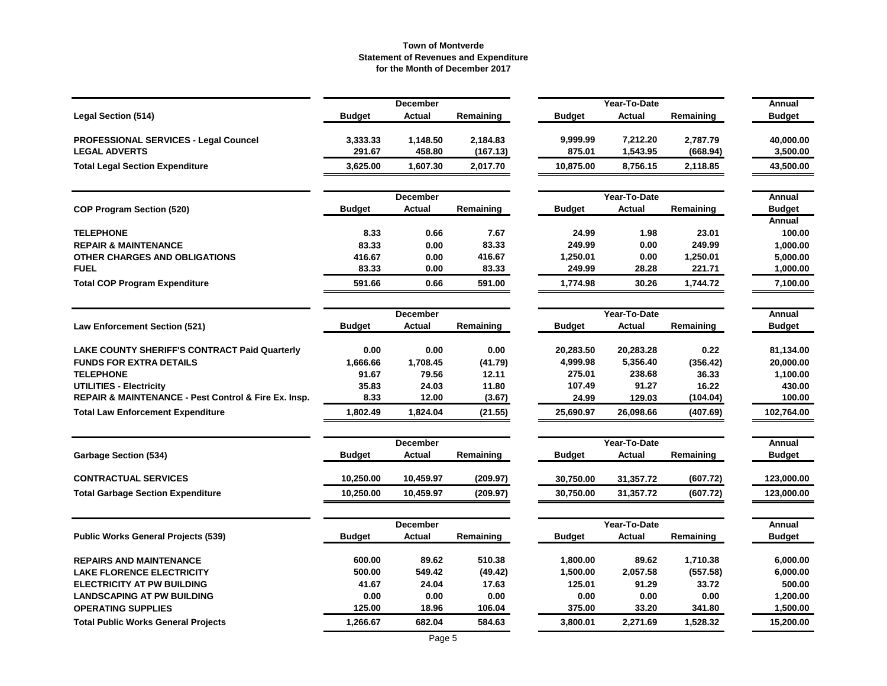|                                                      |               | December        |           |               | Year-To-Date  |           | Annual        |
|------------------------------------------------------|---------------|-----------------|-----------|---------------|---------------|-----------|---------------|
| <b>Legal Section (514)</b>                           | <b>Budget</b> | <b>Actual</b>   | Remaining | <b>Budget</b> | <b>Actual</b> | Remaining | <b>Budget</b> |
| <b>PROFESSIONAL SERVICES - Legal Councel</b>         | 3,333.33      | 1,148.50        | 2,184.83  | 9,999.99      | 7,212.20      | 2,787.79  | 40,000.00     |
| <b>LEGAL ADVERTS</b>                                 | 291.67        | 458.80          | (167.13)  | 875.01        | 1,543.95      | (668.94)  | 3,500.00      |
| <b>Total Legal Section Expenditure</b>               | 3,625.00      | 1,607.30        | 2,017.70  | 10,875.00     | 8,756.15      | 2,118.85  | 43,500.00     |
|                                                      |               | <b>December</b> |           |               | Year-To-Date  |           | Annual        |
| <b>COP Program Section (520)</b>                     | <b>Budget</b> | <b>Actual</b>   | Remaining | <b>Budget</b> | <b>Actual</b> | Remaining | <b>Budget</b> |
|                                                      |               |                 |           |               |               |           | Annual        |
| <b>TELEPHONE</b>                                     | 8.33          | 0.66            | 7.67      | 24.99         | 1.98          | 23.01     | 100.00        |
| <b>REPAIR &amp; MAINTENANCE</b>                      | 83.33         | 0.00            | 83.33     | 249.99        | 0.00          | 249.99    | 1,000.00      |
| OTHER CHARGES AND OBLIGATIONS                        | 416.67        | 0.00            | 416.67    | 1,250.01      | 0.00          | 1,250.01  | 5,000.00      |
| <b>FUEL</b>                                          | 83.33         | 0.00            | 83.33     | 249.99        | 28.28         | 221.71    | 1,000.00      |
| <b>Total COP Program Expenditure</b>                 | 591.66        | 0.66            | 591.00    | 1,774.98      | 30.26         | 1,744.72  | 7,100.00      |
|                                                      |               | <b>December</b> |           |               | Year-To-Date  |           | Annual        |
| <b>Law Enforcement Section (521)</b>                 | <b>Budget</b> | Actual          | Remaining | <b>Budget</b> | Actual        | Remaining | <b>Budget</b> |
| <b>LAKE COUNTY SHERIFF'S CONTRACT Paid Quarterly</b> | 0.00          | 0.00            | 0.00      | 20,283.50     | 20,283.28     | 0.22      | 81,134.00     |
| <b>FUNDS FOR EXTRA DETAILS</b>                       | 1,666.66      | 1,708.45        | (41.79)   | 4,999.98      | 5,356.40      | (356.42)  | 20,000.00     |
| <b>TELEPHONE</b>                                     | 91.67         | 79.56           | 12.11     | 275.01        | 238.68        | 36.33     | 1,100.00      |
| <b>UTILITIES - Electricity</b>                       | 35.83         | 24.03           | 11.80     | 107.49        | 91.27         | 16.22     | 430.00        |
| REPAIR & MAINTENANCE - Pest Control & Fire Ex. Insp. | 8.33          | 12.00           | (3.67)    | 24.99         | 129.03        | (104.04)  | 100.00        |
| <b>Total Law Enforcement Expenditure</b>             | 1,802.49      | 1,824.04        | (21.55)   | 25,690.97     | 26,098.66     | (407.69)  | 102,764.00    |
|                                                      |               | <b>December</b> |           |               | Year-To-Date  |           | Annual        |
| <b>Garbage Section (534)</b>                         | <b>Budget</b> | <b>Actual</b>   | Remaining | Budget        | Actual        | Remaining | <b>Budget</b> |
| <b>CONTRACTUAL SERVICES</b>                          | 10,250.00     | 10,459.97       | (209.97)  | 30,750.00     | 31,357.72     | (607.72)  | 123,000.00    |
| <b>Total Garbage Section Expenditure</b>             | 10,250.00     | 10,459.97       | (209.97)  | 30,750.00     | 31,357.72     | (607.72)  | 123,000.00    |
|                                                      |               | <b>December</b> |           |               | Year-To-Date  |           | Annual        |
| <b>Public Works General Projects (539)</b>           | <b>Budget</b> | Actual          | Remaining | <b>Budget</b> | Actual        | Remaining | <b>Budget</b> |
| <b>REPAIRS AND MAINTENANCE</b>                       | 600.00        | 89.62           | 510.38    | 1,800.00      | 89.62         | 1,710.38  | 6,000.00      |
| <b>LAKE FLORENCE ELECTRICITY</b>                     | 500.00        | 549.42          | (49.42)   | 1,500.00      | 2,057.58      | (557.58)  | 6,000.00      |
| <b>ELECTRICITY AT PW BUILDING</b>                    | 41.67         | 24.04           | 17.63     | 125.01        | 91.29         | 33.72     | 500.00        |
| <b>LANDSCAPING AT PW BUILDING</b>                    | 0.00          | 0.00            | 0.00      | 0.00          | 0.00          | 0.00      | 1,200.00      |
| <b>OPERATING SUPPLIES</b>                            | 125.00        | 18.96           | 106.04    | 375.00        | 33.20         | 341.80    | 1,500.00      |
| <b>Total Public Works General Projects</b>           | 1,266.67      | 682.04          | 584.63    | 3,800.01      | 2,271.69      | 1,528.32  | 15,200.00     |
|                                                      |               |                 |           |               |               |           |               |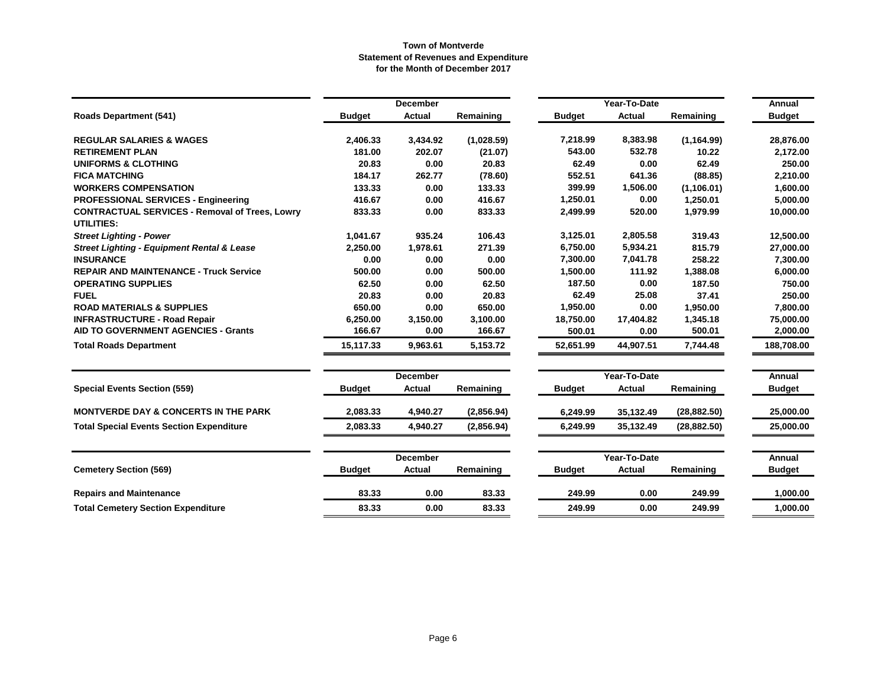|                                                                            |               | <b>December</b> |            |               | Year-To-Date                  |              | Annual        |
|----------------------------------------------------------------------------|---------------|-----------------|------------|---------------|-------------------------------|--------------|---------------|
| <b>Roads Department (541)</b>                                              | <b>Budget</b> | <b>Actual</b>   | Remaining  | <b>Budget</b> | Actual                        | Remaining    | <b>Budget</b> |
| <b>REGULAR SALARIES &amp; WAGES</b>                                        | 2,406.33      | 3,434.92        | (1,028.59) | 7,218.99      | 8,383.98                      | (1, 164.99)  | 28,876.00     |
| <b>RETIREMENT PLAN</b>                                                     | 181.00        | 202.07          | (21.07)    | 543.00        | 532.78                        | 10.22        | 2,172.00      |
| <b>UNIFORMS &amp; CLOTHING</b>                                             | 20.83         | 0.00            | 20.83      | 62.49         | 0.00                          | 62.49        | 250.00        |
| <b>FICA MATCHING</b>                                                       | 184.17        | 262.77          | (78.60)    | 552.51        | 641.36                        | (88.85)      | 2,210.00      |
| <b>WORKERS COMPENSATION</b>                                                | 133.33        | 0.00            | 133.33     | 399.99        | 1,506.00                      | (1, 106.01)  | 1,600.00      |
| <b>PROFESSIONAL SERVICES - Engineering</b>                                 | 416.67        | 0.00            | 416.67     | 1,250.01      | 0.00                          | 1,250.01     | 5,000.00      |
| <b>CONTRACTUAL SERVICES - Removal of Trees, Lowry</b><br><b>UTILITIES:</b> | 833.33        | 0.00            | 833.33     | 2,499.99      | 520.00                        | 1,979.99     | 10,000.00     |
| <b>Street Lighting - Power</b>                                             | 1,041.67      | 935.24          | 106.43     | 3,125.01      | 2,805.58                      | 319.43       | 12.500.00     |
| <b>Street Lighting - Equipment Rental &amp; Lease</b>                      | 2,250.00      | 1,978.61        | 271.39     | 6,750.00      | 5,934.21                      | 815.79       | 27,000.00     |
| <b>INSURANCE</b>                                                           | 0.00          | 0.00            | 0.00       | 7,300.00      | 7,041.78                      | 258.22       | 7,300.00      |
| <b>REPAIR AND MAINTENANCE - Truck Service</b>                              | 500.00        | 0.00            | 500.00     | 1,500.00      | 111.92                        | 1,388.08     | 6,000.00      |
| <b>OPERATING SUPPLIES</b>                                                  | 62.50         | 0.00            | 62.50      | 187.50        | 0.00                          | 187.50       | 750.00        |
| <b>FUEL</b>                                                                | 20.83         | 0.00            | 20.83      | 62.49         | 25.08                         | 37.41        | 250.00        |
| <b>ROAD MATERIALS &amp; SUPPLIES</b>                                       | 650.00        | 0.00            | 650.00     | 1,950.00      | 0.00                          | 1,950.00     | 7,800.00      |
| <b>INFRASTRUCTURE - Road Repair</b>                                        | 6,250.00      | 3,150.00        | 3,100.00   | 18,750.00     | 17,404.82                     | 1,345.18     | 75,000.00     |
| AID TO GOVERNMENT AGENCIES - Grants                                        | 166.67        | 0.00            | 166.67     | 500.01        | 0.00                          | 500.01       | 2,000.00      |
| <b>Total Roads Department</b>                                              | 15,117.33     | 9,963.61        | 5,153.72   | 52,651.99     | 44,907.51                     | 7,744.48     | 188,708.00    |
|                                                                            |               | <b>December</b> |            |               |                               | Annual       |               |
| <b>Special Events Section (559)</b>                                        | <b>Budget</b> | <b>Actual</b>   | Remaining  | <b>Budget</b> | Year-To-Date<br><b>Actual</b> | Remaining    | <b>Budget</b> |
| <b>MONTVERDE DAY &amp; CONCERTS IN THE PARK</b>                            | 2,083.33      | 4,940.27        | (2,856.94) | 6,249.99      | 35,132.49                     | (28, 882.50) | 25.000.00     |
| <b>Total Special Events Section Expenditure</b>                            | 2,083.33      | 4,940.27        | (2,856.94) | 6,249.99      | 35,132.49                     | (28, 882.50) | 25,000.00     |
|                                                                            |               | <b>December</b> |            |               | Year-To-Date                  |              | Annual        |
| <b>Cemetery Section (569)</b>                                              | <b>Budget</b> | <b>Actual</b>   | Remaining  | <b>Budget</b> | Actual                        | Remaining    | <b>Budget</b> |
| <b>Repairs and Maintenance</b>                                             | 83.33         | 0.00            | 83.33      | 249.99        | 0.00                          | 249.99       | 1,000.00      |
| <b>Total Cemetery Section Expenditure</b>                                  | 83.33         | 0.00            | 83.33      | 249.99        | 0.00                          | 249.99       | 1,000.00      |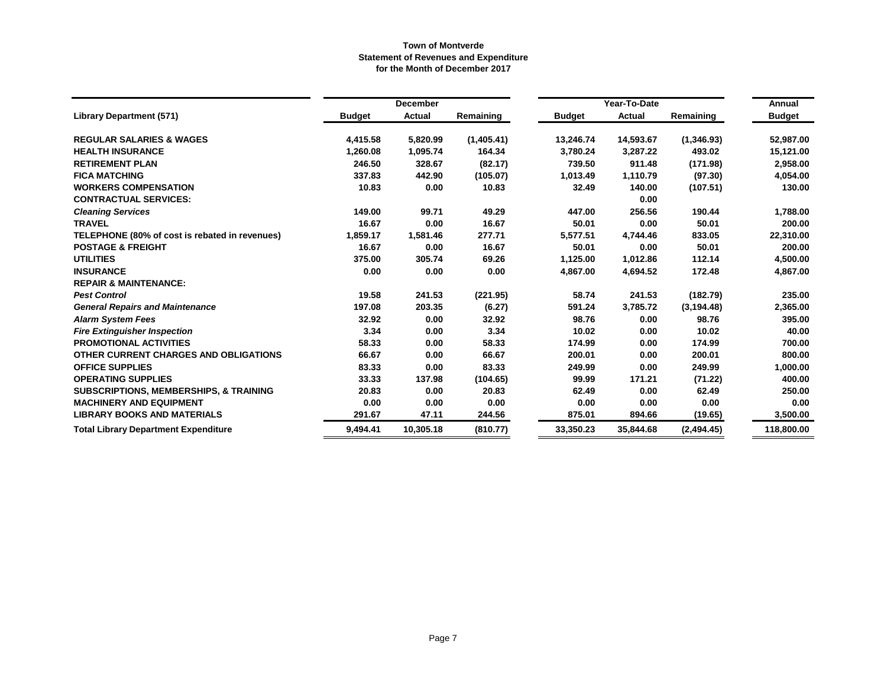|                                                   |               | <b>December</b> |            |               | Year-To-Date  |             | Annual        |
|---------------------------------------------------|---------------|-----------------|------------|---------------|---------------|-------------|---------------|
| <b>Library Department (571)</b>                   | <b>Budget</b> | <b>Actual</b>   | Remaining  | <b>Budget</b> | <b>Actual</b> | Remaining   | <b>Budget</b> |
| <b>REGULAR SALARIES &amp; WAGES</b>               | 4,415.58      | 5,820.99        | (1,405.41) | 13,246.74     | 14,593.67     | (1,346.93)  | 52,987.00     |
| <b>HEALTH INSURANCE</b>                           | 1,260.08      | 1,095.74        | 164.34     | 3,780.24      | 3,287.22      | 493.02      | 15,121.00     |
| <b>RETIREMENT PLAN</b>                            | 246.50        | 328.67          | (82.17)    | 739.50        | 911.48        | (171.98)    | 2,958.00      |
| <b>FICA MATCHING</b>                              | 337.83        | 442.90          | (105.07)   | 1,013.49      | 1,110.79      | (97.30)     | 4,054.00      |
| <b>WORKERS COMPENSATION</b>                       | 10.83         | 0.00            | 10.83      | 32.49         | 140.00        | (107.51)    | 130.00        |
| <b>CONTRACTUAL SERVICES:</b>                      |               |                 |            |               | 0.00          |             |               |
| <b>Cleaning Services</b>                          | 149.00        | 99.71           | 49.29      | 447.00        | 256.56        | 190.44      | 1,788.00      |
| <b>TRAVEL</b>                                     | 16.67         | 0.00            | 16.67      | 50.01         | 0.00          | 50.01       | 200.00        |
| TELEPHONE (80% of cost is rebated in revenues)    | 1,859.17      | 1,581.46        | 277.71     | 5,577.51      | 4,744.46      | 833.05      | 22,310.00     |
| <b>POSTAGE &amp; FREIGHT</b>                      | 16.67         | 0.00            | 16.67      | 50.01         | 0.00          | 50.01       | 200.00        |
| <b>UTILITIES</b>                                  | 375.00        | 305.74          | 69.26      | 1,125.00      | 1,012.86      | 112.14      | 4,500.00      |
| <b>INSURANCE</b>                                  | 0.00          | 0.00            | 0.00       | 4.867.00      | 4,694.52      | 172.48      | 4,867.00      |
| <b>REPAIR &amp; MAINTENANCE:</b>                  |               |                 |            |               |               |             |               |
| <b>Pest Control</b>                               | 19.58         | 241.53          | (221.95)   | 58.74         | 241.53        | (182.79)    | 235.00        |
| <b>General Repairs and Maintenance</b>            | 197.08        | 203.35          | (6.27)     | 591.24        | 3,785.72      | (3, 194.48) | 2,365.00      |
| <b>Alarm System Fees</b>                          | 32.92         | 0.00            | 32.92      | 98.76         | 0.00          | 98.76       | 395.00        |
| <b>Fire Extinguisher Inspection</b>               | 3.34          | 0.00            | 3.34       | 10.02         | 0.00          | 10.02       | 40.00         |
| <b>PROMOTIONAL ACTIVITIES</b>                     | 58.33         | 0.00            | 58.33      | 174.99        | 0.00          | 174.99      | 700.00        |
| OTHER CURRENT CHARGES AND OBLIGATIONS             | 66.67         | 0.00            | 66.67      | 200.01        | 0.00          | 200.01      | 800.00        |
| <b>OFFICE SUPPLIES</b>                            | 83.33         | 0.00            | 83.33      | 249.99        | 0.00          | 249.99      | 1,000.00      |
| <b>OPERATING SUPPLIES</b>                         | 33.33         | 137.98          | (104.65)   | 99.99         | 171.21        | (71.22)     | 400.00        |
| <b>SUBSCRIPTIONS, MEMBERSHIPS, &amp; TRAINING</b> | 20.83         | 0.00            | 20.83      | 62.49         | 0.00          | 62.49       | 250.00        |
| <b>MACHINERY AND EQUIPMENT</b>                    | 0.00          | 0.00            | 0.00       | 0.00          | 0.00          | 0.00        | 0.00          |
| <b>LIBRARY BOOKS AND MATERIALS</b>                | 291.67        | 47.11           | 244.56     | 875.01        | 894.66        | (19.65)     | 3,500.00      |
| <b>Total Library Department Expenditure</b>       | 9,494.41      | 10,305.18       | (810.77)   | 33,350.23     | 35,844.68     | (2,494.45)  | 118,800.00    |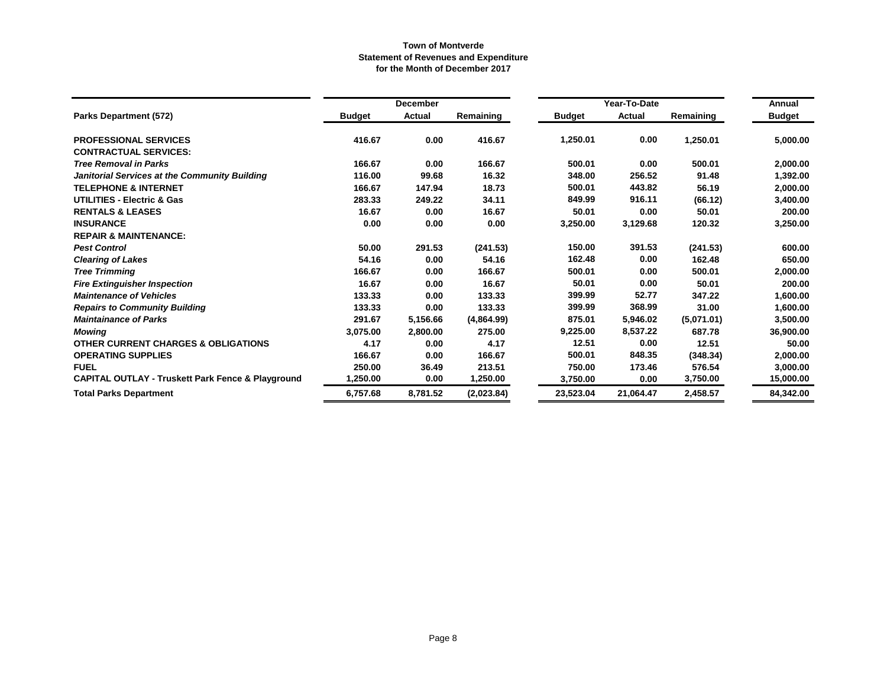|                                                              |               | <b>December</b> |            |               | Year-To-Date |            | Annual        |
|--------------------------------------------------------------|---------------|-----------------|------------|---------------|--------------|------------|---------------|
| Parks Department (572)                                       | <b>Budget</b> | <b>Actual</b>   | Remaining  | <b>Budget</b> | Actual       | Remaining  | <b>Budget</b> |
| <b>PROFESSIONAL SERVICES</b>                                 | 416.67        | 0.00            | 416.67     | 1,250.01      | 0.00         | 1,250.01   | 5,000.00      |
| <b>CONTRACTUAL SERVICES:</b>                                 |               |                 |            |               |              |            |               |
| <b>Tree Removal in Parks</b>                                 | 166.67        | 0.00            | 166.67     | 500.01        | 0.00         | 500.01     | 2,000.00      |
| Janitorial Services at the Community Building                | 116.00        | 99.68           | 16.32      | 348.00        | 256.52       | 91.48      | 1,392.00      |
| <b>TELEPHONE &amp; INTERNET</b>                              | 166.67        | 147.94          | 18.73      | 500.01        | 443.82       | 56.19      | 2,000.00      |
| <b>UTILITIES - Electric &amp; Gas</b>                        | 283.33        | 249.22          | 34.11      | 849.99        | 916.11       | (66.12)    | 3,400.00      |
| <b>RENTALS &amp; LEASES</b>                                  | 16.67         | 0.00            | 16.67      | 50.01         | 0.00         | 50.01      | 200.00        |
| <b>INSURANCE</b>                                             | 0.00          | 0.00            | 0.00       | 3,250.00      | 3,129.68     | 120.32     | 3,250.00      |
| <b>REPAIR &amp; MAINTENANCE:</b>                             |               |                 |            |               |              |            |               |
| <b>Pest Control</b>                                          | 50.00         | 291.53          | (241.53)   | 150.00        | 391.53       | (241.53)   | 600.00        |
| <b>Clearing of Lakes</b>                                     | 54.16         | 0.00            | 54.16      | 162.48        | 0.00         | 162.48     | 650.00        |
| <b>Tree Trimming</b>                                         | 166.67        | 0.00            | 166.67     | 500.01        | 0.00         | 500.01     | 2,000.00      |
| <b>Fire Extinguisher Inspection</b>                          | 16.67         | 0.00            | 16.67      | 50.01         | 0.00         | 50.01      | 200.00        |
| <b>Maintenance of Vehicles</b>                               | 133.33        | 0.00            | 133.33     | 399.99        | 52.77        | 347.22     | 1,600.00      |
| <b>Repairs to Community Building</b>                         | 133.33        | 0.00            | 133.33     | 399.99        | 368.99       | 31.00      | 1,600.00      |
| <b>Maintainance of Parks</b>                                 | 291.67        | 5,156.66        | (4,864.99) | 875.01        | 5,946.02     | (5,071.01) | 3,500.00      |
| <b>Mowing</b>                                                | 3,075.00      | 2,800.00        | 275.00     | 9,225.00      | 8,537.22     | 687.78     | 36,900.00     |
| <b>OTHER CURRENT CHARGES &amp; OBLIGATIONS</b>               | 4.17          | 0.00            | 4.17       | 12.51         | 0.00         | 12.51      | 50.00         |
| <b>OPERATING SUPPLIES</b>                                    | 166.67        | 0.00            | 166.67     | 500.01        | 848.35       | (348.34)   | 2,000.00      |
| <b>FUEL</b>                                                  | 250.00        | 36.49           | 213.51     | 750.00        | 173.46       | 576.54     | 3,000.00      |
| <b>CAPITAL OUTLAY - Truskett Park Fence &amp; Playground</b> | 1.250.00      | 0.00            | 1,250.00   | 3,750.00      | 0.00         | 3,750.00   | 15,000.00     |
| <b>Total Parks Department</b>                                | 6,757.68      | 8,781.52        | (2,023.84) | 23,523.04     | 21,064.47    | 2,458.57   | 84,342.00     |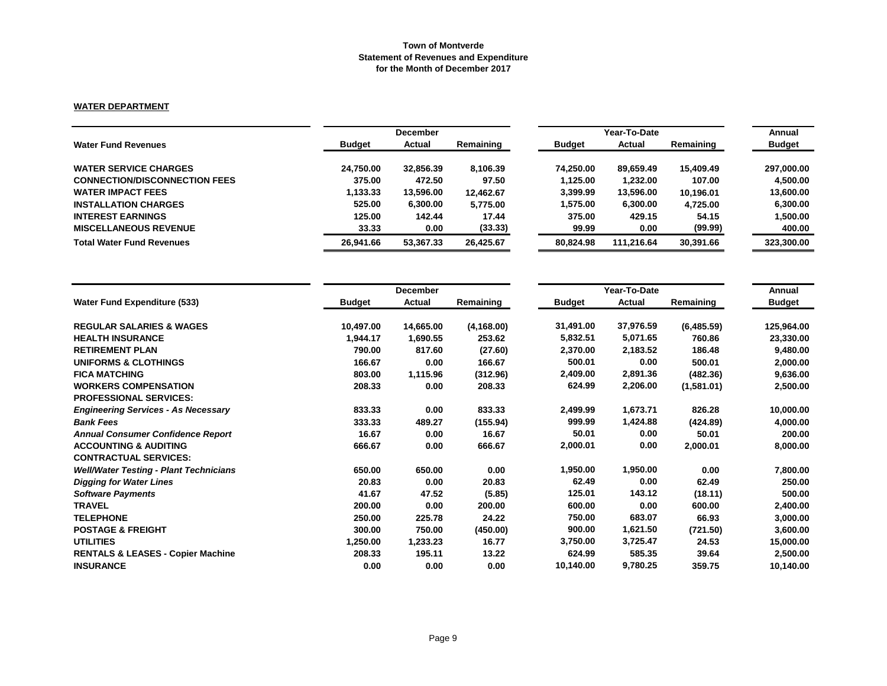#### **WATER DEPARTMENT**

|                                      | <b>December</b> |           |           | Year-To-Date  | Annual     |           |               |
|--------------------------------------|-----------------|-----------|-----------|---------------|------------|-----------|---------------|
| <b>Water Fund Revenues</b>           | <b>Budget</b>   | Actual    | Remaining | <b>Budget</b> | Actual     | Remaining | <b>Budget</b> |
| <b>WATER SERVICE CHARGES</b>         | 24.750.00       | 32.856.39 | 8.106.39  | 74.250.00     | 89.659.49  | 15,409.49 | 297,000.00    |
| <b>CONNECTION/DISCONNECTION FEES</b> | 375.00          | 472.50    | 97.50     | 1.125.00      | 1.232.00   | 107.00    | 4.500.00      |
| <b>WATER IMPACT FEES</b>             | 1,133.33        | 13.596.00 | 12.462.67 | 3,399.99      | 13,596.00  | 10.196.01 | 13,600.00     |
| <b>INSTALLATION CHARGES</b>          | 525.00          | 6.300.00  | 5.775.00  | 1.575.00      | 6,300.00   | 4.725.00  | 6.300.00      |
| <b>INTEREST EARNINGS</b>             | 125.00          | 142.44    | 17.44     | 375.00        | 429.15     | 54.15     | 1.500.00      |
| <b>MISCELLANEOUS REVENUE</b>         | 33.33           | 0.00      | (33.33)   | 99.99         | 0.00       | (99.99)   | 400.00        |
| <b>Total Water Fund Revenues</b>     | 26.941.66       | 53.367.33 | 26,425.67 | 80,824.98     | 111.216.64 | 30,391.66 | 323,300.00    |

|                                               |               | <b>December</b> |             |               | Year-To-Date |            | Annual        |
|-----------------------------------------------|---------------|-----------------|-------------|---------------|--------------|------------|---------------|
| <b>Water Fund Expenditure (533)</b>           | <b>Budget</b> | Actual          | Remaining   | <b>Budget</b> | Actual       | Remaining  | <b>Budget</b> |
| <b>REGULAR SALARIES &amp; WAGES</b>           | 10,497.00     | 14,665.00       | (4, 168.00) | 31,491.00     | 37,976.59    | (6,485.59) | 125,964.00    |
| <b>HEALTH INSURANCE</b>                       | 1,944.17      | 1,690.55        | 253.62      | 5,832.51      | 5,071.65     | 760.86     | 23,330.00     |
| <b>RETIREMENT PLAN</b>                        | 790.00        | 817.60          | (27.60)     | 2,370.00      | 2,183.52     | 186.48     | 9,480.00      |
| <b>UNIFORMS &amp; CLOTHINGS</b>               | 166.67        | 0.00            | 166.67      | 500.01        | 0.00         | 500.01     | 2,000.00      |
| <b>FICA MATCHING</b>                          | 803.00        | 1,115.96        | (312.96)    | 2,409.00      | 2,891.36     | (482.36)   | 9,636.00      |
| <b>WORKERS COMPENSATION</b>                   | 208.33        | 0.00            | 208.33      | 624.99        | 2,206.00     | (1,581.01) | 2,500.00      |
| <b>PROFESSIONAL SERVICES:</b>                 |               |                 |             |               |              |            |               |
| <b>Engineering Services - As Necessary</b>    | 833.33        | 0.00            | 833.33      | 2,499.99      | 1,673.71     | 826.28     | 10,000.00     |
| <b>Bank Fees</b>                              | 333.33        | 489.27          | (155.94)    | 999.99        | 1,424.88     | (424.89)   | 4,000.00      |
| <b>Annual Consumer Confidence Report</b>      | 16.67         | 0.00            | 16.67       | 50.01         | 0.00         | 50.01      | 200.00        |
| <b>ACCOUNTING &amp; AUDITING</b>              | 666.67        | 0.00            | 666.67      | 2,000.01      | 0.00         | 2,000.01   | 8,000.00      |
| <b>CONTRACTUAL SERVICES:</b>                  |               |                 |             |               |              |            |               |
| <b>Well/Water Testing - Plant Technicians</b> | 650.00        | 650.00          | 0.00        | 1,950.00      | 1,950.00     | 0.00       | 7,800.00      |
| <b>Digging for Water Lines</b>                | 20.83         | 0.00            | 20.83       | 62.49         | 0.00         | 62.49      | 250.00        |
| <b>Software Payments</b>                      | 41.67         | 47.52           | (5.85)      | 125.01        | 143.12       | (18.11)    | 500.00        |
| <b>TRAVEL</b>                                 | 200.00        | 0.00            | 200.00      | 600.00        | 0.00         | 600.00     | 2,400.00      |
| <b>TELEPHONE</b>                              | 250.00        | 225.78          | 24.22       | 750.00        | 683.07       | 66.93      | 3,000.00      |
| <b>POSTAGE &amp; FREIGHT</b>                  | 300.00        | 750.00          | (450.00)    | 900.00        | 1,621.50     | (721.50)   | 3,600.00      |
| <b>UTILITIES</b>                              | 1,250.00      | 1,233.23        | 16.77       | 3,750.00      | 3,725.47     | 24.53      | 15,000.00     |
| <b>RENTALS &amp; LEASES - Copier Machine</b>  | 208.33        | 195.11          | 13.22       | 624.99        | 585.35       | 39.64      | 2,500.00      |
| <b>INSURANCE</b>                              | 0.00          | 0.00            | 0.00        | 10,140.00     | 9,780.25     | 359.75     | 10,140.00     |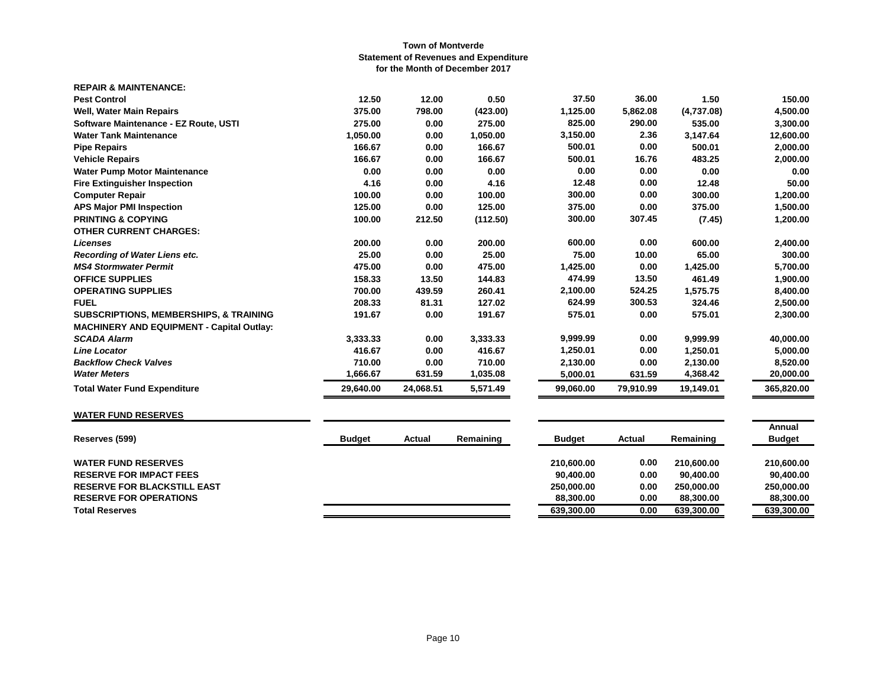| <b>REPAIR &amp; MAINTENANCE:</b>                  |           |           |          |           |           |            |            |
|---------------------------------------------------|-----------|-----------|----------|-----------|-----------|------------|------------|
| <b>Pest Control</b>                               | 12.50     | 12.00     | 0.50     | 37.50     | 36.00     | 1.50       | 150.00     |
| <b>Well, Water Main Repairs</b>                   | 375.00    | 798.00    | (423.00) | 1,125.00  | 5,862.08  | (4,737.08) | 4,500.00   |
| Software Maintenance - EZ Route, USTI             | 275.00    | 0.00      | 275.00   | 825.00    | 290.00    | 535.00     | 3,300.00   |
| <b>Water Tank Maintenance</b>                     | 1,050.00  | 0.00      | 1,050.00 | 3,150.00  | 2.36      | 3,147.64   | 12,600.00  |
| <b>Pipe Repairs</b>                               | 166.67    | 0.00      | 166.67   | 500.01    | 0.00      | 500.01     | 2,000.00   |
| <b>Vehicle Repairs</b>                            | 166.67    | 0.00      | 166.67   | 500.01    | 16.76     | 483.25     | 2,000.00   |
| <b>Water Pump Motor Maintenance</b>               | 0.00      | 0.00      | 0.00     | 0.00      | 0.00      | 0.00       | 0.00       |
| <b>Fire Extinguisher Inspection</b>               | 4.16      | 0.00      | 4.16     | 12.48     | 0.00      | 12.48      | 50.00      |
| <b>Computer Repair</b>                            | 100.00    | 0.00      | 100.00   | 300.00    | 0.00      | 300.00     | 1,200.00   |
| <b>APS Major PMI Inspection</b>                   | 125.00    | 0.00      | 125.00   | 375.00    | 0.00      | 375.00     | 1,500.00   |
| <b>PRINTING &amp; COPYING</b>                     | 100.00    | 212.50    | (112.50) | 300.00    | 307.45    | (7.45)     | 1,200.00   |
| <b>OTHER CURRENT CHARGES:</b>                     |           |           |          |           |           |            |            |
| <b>Licenses</b>                                   | 200.00    | 0.00      | 200.00   | 600.00    | 0.00      | 600.00     | 2,400.00   |
| Recording of Water Liens etc.                     | 25.00     | 0.00      | 25.00    | 75.00     | 10.00     | 65.00      | 300.00     |
| <b>MS4 Stormwater Permit</b>                      | 475.00    | 0.00      | 475.00   | 1,425.00  | 0.00      | 1,425.00   | 5,700.00   |
| <b>OFFICE SUPPLIES</b>                            | 158.33    | 13.50     | 144.83   | 474.99    | 13.50     | 461.49     | 1,900.00   |
| <b>OPERATING SUPPLIES</b>                         | 700.00    | 439.59    | 260.41   | 2,100.00  | 524.25    | 1,575.75   | 8,400.00   |
| <b>FUEL</b>                                       | 208.33    | 81.31     | 127.02   | 624.99    | 300.53    | 324.46     | 2,500.00   |
| <b>SUBSCRIPTIONS, MEMBERSHIPS, &amp; TRAINING</b> | 191.67    | 0.00      | 191.67   | 575.01    | 0.00      | 575.01     | 2,300.00   |
| <b>MACHINERY AND EQUIPMENT - Capital Outlay:</b>  |           |           |          |           |           |            |            |
| <b>SCADA Alarm</b>                                | 3,333.33  | 0.00      | 3,333.33 | 9,999.99  | 0.00      | 9,999.99   | 40,000.00  |
| <b>Line Locator</b>                               | 416.67    | 0.00      | 416.67   | 1,250.01  | 0.00      | 1,250.01   | 5,000.00   |
| <b>Backflow Check Valves</b>                      | 710.00    | 0.00      | 710.00   | 2,130.00  | 0.00      | 2,130.00   | 8,520.00   |
| <b>Water Meters</b>                               | 1,666.67  | 631.59    | 1,035.08 | 5,000.01  | 631.59    | 4,368.42   | 20,000.00  |
| <b>Total Water Fund Expenditure</b>               | 29.640.00 | 24.068.51 | 5,571.49 | 99.060.00 | 79,910.99 | 19,149.01  | 365,820.00 |

# **WATER FUND RESERVES**

| Reserves (599)                     | <b>Budget</b> | Actual | Remaining | <b>Budget</b> | Actual | Remaining  | Annual<br><b>Budget</b> |
|------------------------------------|---------------|--------|-----------|---------------|--------|------------|-------------------------|
| <b>WATER FUND RESERVES</b>         |               |        |           | 210.600.00    | 0.00   | 210.600.00 | 210.600.00              |
| <b>RESERVE FOR IMPACT FEES</b>     |               |        |           | 90.400.00     | 0.00   | 90.400.00  | 90.400.00               |
| <b>RESERVE FOR BLACKSTILL EAST</b> |               |        |           | 250,000,00    | 0.00   | 250.000.00 | 250.000.00              |
| <b>RESERVE FOR OPERATIONS</b>      |               |        |           | 88.300.00     | 0.00   | 88,300.00  | 88,300.00               |
| <b>Total Reserves</b>              |               |        |           | 639.300.00    | 0.00   | 639,300.00 | 639,300.00              |
|                                    |               |        |           |               |        |            |                         |